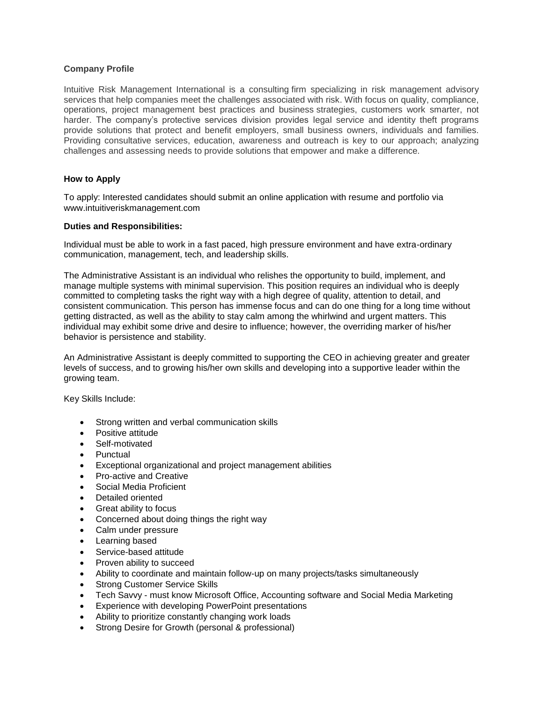## **Company Profile**

Intuitive Risk Management International is a consulting firm specializing in risk management advisory services that help companies meet the challenges associated with risk. With focus on quality, compliance, operations, project management best practices and business strategies, customers work smarter, not harder. The company's protective services division provides legal service and identity theft programs provide solutions that protect and benefit employers, small business owners, individuals and families. Providing consultative services, education, awareness and outreach is key to our approach; analyzing challenges and assessing needs to provide solutions that empower and make a difference.

## **How to Apply**

To apply: Interested candidates should submit an online application with resume and portfolio via www.intuitiveriskmanagement.com

## **Duties and Responsibilities:**

Individual must be able to work in a fast paced, high pressure environment and have extra-ordinary communication, management, tech, and leadership skills.

The Administrative Assistant is an individual who relishes the opportunity to build, implement, and manage multiple systems with minimal supervision. This position requires an individual who is deeply committed to completing tasks the right way with a high degree of quality, attention to detail, and consistent communication. This person has immense focus and can do one thing for a long time without getting distracted, as well as the ability to stay calm among the whirlwind and urgent matters. This individual may exhibit some drive and desire to influence; however, the overriding marker of his/her behavior is persistence and stability.

An Administrative Assistant is deeply committed to supporting the CEO in achieving greater and greater levels of success, and to growing his/her own skills and developing into a supportive leader within the growing team.

Key Skills Include:

- Strong written and verbal communication skills
- Positive attitude
- Self-motivated
- Punctual
- Exceptional organizational and project management abilities
- Pro-active and Creative
- Social Media Proficient
- Detailed oriented
- Great ability to focus
- Concerned about doing things the right way
- Calm under pressure
- Learning based
- Service-based attitude
- Proven ability to succeed
- Ability to coordinate and maintain follow-up on many projects/tasks simultaneously
- Strong Customer Service Skills
- Tech Savvy must know Microsoft Office, Accounting software and Social Media Marketing
- Experience with developing PowerPoint presentations
- Ability to prioritize constantly changing work loads
- Strong Desire for Growth (personal & professional)